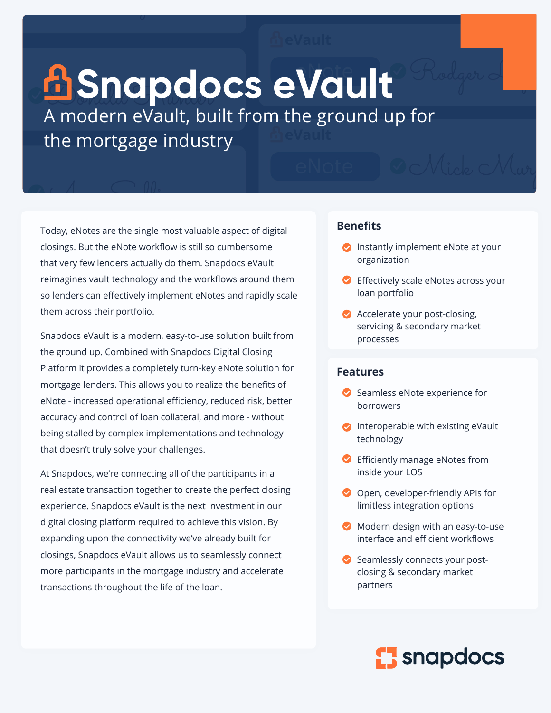# **B**Snapdocs eVault

A modern eVault, built from the ground up for the mortgage industry

Today, eNotes are the single most valuable aspect of digital closings. But the eNote workflow is still so cumbersome that very few lenders actually do them. Snapdocs eVault reimagines vault technology and the workflows around them so lenders can effectively implement eNotes and rapidly scale them across their portfolio.

Snapdocs eVault is a modern, easy-to-use solution built from the ground up. Combined with Snapdocs Digital Closing Platform it provides a completely turn-key eNote solution for mortgage lenders. This allows you to realize the benefits of eNote - increased operational efficiency, reduced risk, better accuracy and control of loan collateral, and more - without being stalled by complex implementations and technology that doesn't truly solve your challenges.

At Snapdocs, we're connecting all of the participants in a real estate transaction together to create the perfect closing experience. Snapdocs eVault is the next investment in our digital closing platform required to achieve this vision. By expanding upon the connectivity we've already built for closings, Snapdocs eVault allows us to seamlessly connect more participants in the mortgage industry and accelerate transactions throughout the life of the loan.

#### **Benefits**

- Instantly implement eNote at your organization
- Effectively scale eNotes across your loan portfolio
- **Accelerate your post-closing,** servicing & secondary market processes

#### **Features**

- Seamless eNote experience for borrowers
- $\bullet$  Interoperable with existing eVault technology
- Efficiently manage eNotes from inside your LOS
- Open, developer-friendly APIs for limitless integration options
- Modern design with an easy-to-use interface and efficient workflows
- Seamlessly connects your postclosing & secondary market partners

## **El snapdocs**